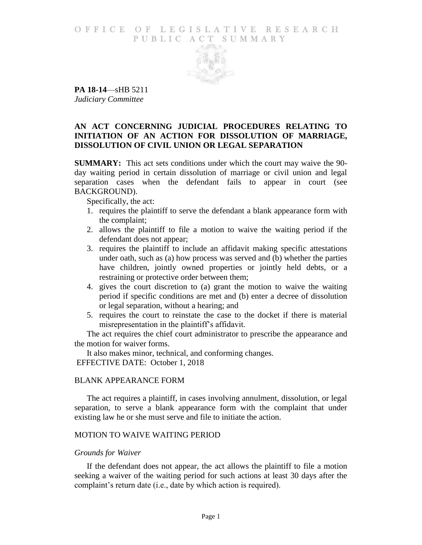## O F FICE OF LEGISLATIVE RESEARCH PUBLIC ACT SUMMARY



**PA 18-14**—sHB 5211 *Judiciary Committee*

# **AN ACT CONCERNING JUDICIAL PROCEDURES RELATING TO INITIATION OF AN ACTION FOR DISSOLUTION OF MARRIAGE, DISSOLUTION OF CIVIL UNION OR LEGAL SEPARATION**

**SUMMARY:** This act sets conditions under which the court may waive the 90 day waiting period in certain dissolution of marriage or civil union and legal separation cases when the defendant fails to appear in court (see BACKGROUND).

Specifically, the act:

- 1. requires the plaintiff to serve the defendant a blank appearance form with the complaint;
- 2. allows the plaintiff to file a motion to waive the waiting period if the defendant does not appear;
- 3. requires the plaintiff to include an affidavit making specific attestations under oath, such as (a) how process was served and (b) whether the parties have children, jointly owned properties or jointly held debts, or a restraining or protective order between them;
- 4. gives the court discretion to (a) grant the motion to waive the waiting period if specific conditions are met and (b) enter a decree of dissolution or legal separation, without a hearing; and
- 5. requires the court to reinstate the case to the docket if there is material misrepresentation in the plaintiff's affidavit.

The act requires the chief court administrator to prescribe the appearance and the motion for waiver forms.

It also makes minor, technical, and conforming changes. EFFECTIVE DATE: October 1, 2018

#### BLANK APPEARANCE FORM

The act requires a plaintiff, in cases involving annulment, dissolution, or legal separation, to serve a blank appearance form with the complaint that under existing law he or she must serve and file to initiate the action.

#### MOTION TO WAIVE WAITING PERIOD

#### *Grounds for Waiver*

If the defendant does not appear, the act allows the plaintiff to file a motion seeking a waiver of the waiting period for such actions at least 30 days after the complaint's return date (i.e., date by which action is required).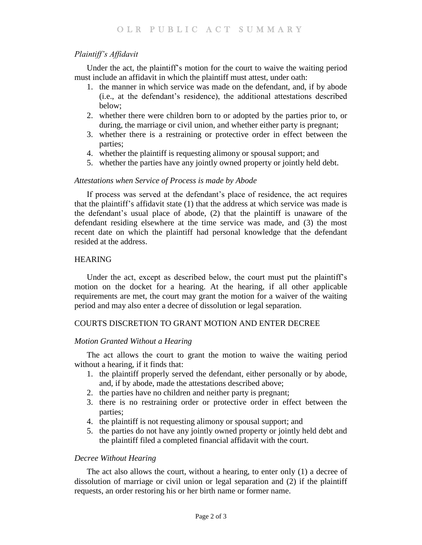# *Plaintiff's Affidavit*

Under the act, the plaintiff's motion for the court to waive the waiting period must include an affidavit in which the plaintiff must attest, under oath:

- 1. the manner in which service was made on the defendant, and, if by abode (i.e., at the defendant's residence), the additional attestations described below;
- 2. whether there were children born to or adopted by the parties prior to, or during, the marriage or civil union, and whether either party is pregnant;
- 3. whether there is a restraining or protective order in effect between the parties;
- 4. whether the plaintiff is requesting alimony or spousal support; and
- 5. whether the parties have any jointly owned property or jointly held debt.

## *Attestations when Service of Process is made by Abode*

If process was served at the defendant's place of residence, the act requires that the plaintiff's affidavit state (1) that the address at which service was made is the defendant's usual place of abode, (2) that the plaintiff is unaware of the defendant residing elsewhere at the time service was made, and (3) the most recent date on which the plaintiff had personal knowledge that the defendant resided at the address.

## HEARING

Under the act, except as described below, the court must put the plaintiff's motion on the docket for a hearing. At the hearing, if all other applicable requirements are met, the court may grant the motion for a waiver of the waiting period and may also enter a decree of dissolution or legal separation.

## COURTS DISCRETION TO GRANT MOTION AND ENTER DECREE

## *Motion Granted Without a Hearing*

The act allows the court to grant the motion to waive the waiting period without a hearing, if it finds that:

- 1. the plaintiff properly served the defendant, either personally or by abode, and, if by abode, made the attestations described above;
- 2. the parties have no children and neither party is pregnant;
- 3. there is no restraining order or protective order in effect between the parties;
- 4. the plaintiff is not requesting alimony or spousal support; and
- 5. the parties do not have any jointly owned property or jointly held debt and the plaintiff filed a completed financial affidavit with the court.

#### *Decree Without Hearing*

The act also allows the court, without a hearing, to enter only (1) a decree of dissolution of marriage or civil union or legal separation and (2) if the plaintiff requests, an order restoring his or her birth name or former name.